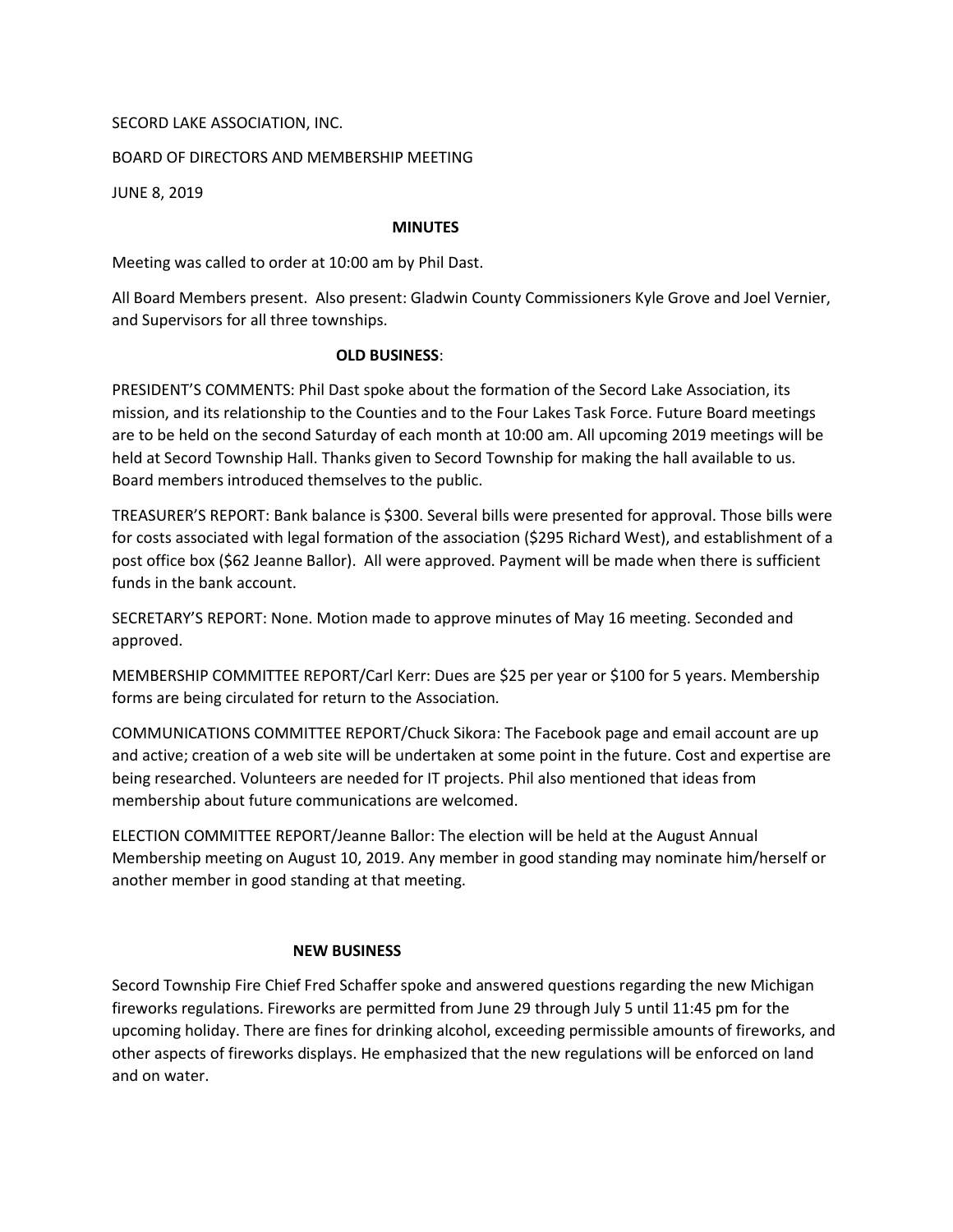## SECORD LAKE ASSOCIATION, INC.

# BOARD OF DIRECTORS AND MEMBERSHIP MEETING

JUNE 8, 2019

#### MINUTES

Meeting was called to order at 10:00 am by Phil Dast.

All Board Members present. Also present: Gladwin County Commissioners Kyle Grove and Joel Vernier, and Supervisors for all three townships.

## OLD BUSINESS:

PRESIDENT'S COMMENTS: Phil Dast spoke about the formation of the Secord Lake Association, its mission, and its relationship to the Counties and to the Four Lakes Task Force. Future Board meetings are to be held on the second Saturday of each month at 10:00 am. All upcoming 2019 meetings will be held at Secord Township Hall. Thanks given to Secord Township for making the hall available to us. Board members introduced themselves to the public.

TREASURER'S REPORT: Bank balance is \$300. Several bills were presented for approval. Those bills were for costs associated with legal formation of the association (\$295 Richard West), and establishment of a post office box (\$62 Jeanne Ballor). All were approved. Payment will be made when there is sufficient funds in the bank account.

SECRETARY'S REPORT: None. Motion made to approve minutes of May 16 meeting. Seconded and approved.

MEMBERSHIP COMMITTEE REPORT/Carl Kerr: Dues are \$25 per year or \$100 for 5 years. Membership forms are being circulated for return to the Association.

COMMUNICATIONS COMMITTEE REPORT/Chuck Sikora: The Facebook page and email account are up and active; creation of a web site will be undertaken at some point in the future. Cost and expertise are being researched. Volunteers are needed for IT projects. Phil also mentioned that ideas from membership about future communications are welcomed.

ELECTION COMMITTEE REPORT/Jeanne Ballor: The election will be held at the August Annual Membership meeting on August 10, 2019. Any member in good standing may nominate him/herself or another member in good standing at that meeting.

## NEW BUSINESS

Secord Township Fire Chief Fred Schaffer spoke and answered questions regarding the new Michigan fireworks regulations. Fireworks are permitted from June 29 through July 5 until 11:45 pm for the upcoming holiday. There are fines for drinking alcohol, exceeding permissible amounts of fireworks, and other aspects of fireworks displays. He emphasized that the new regulations will be enforced on land and on water.